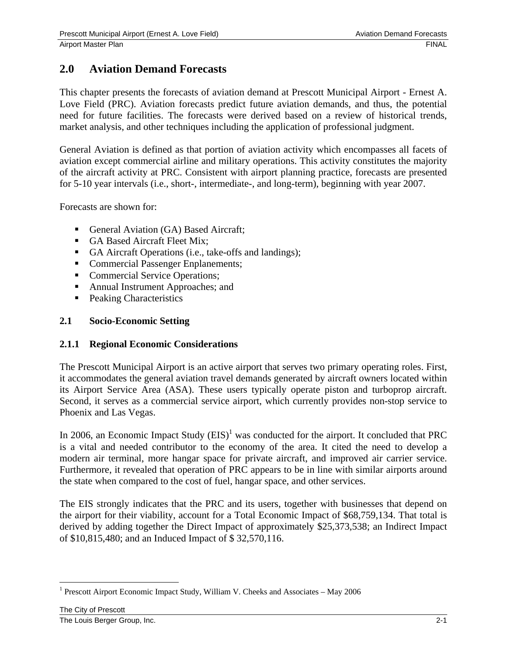# **2.0 Aviation Demand Forecasts**

This chapter presents the forecasts of aviation demand at Prescott Municipal Airport - Ernest A. Love Field (PRC). Aviation forecasts predict future aviation demands, and thus, the potential need for future facilities. The forecasts were derived based on a review of historical trends, market analysis, and other techniques including the application of professional judgment.

General Aviation is defined as that portion of aviation activity which encompasses all facets of aviation except commercial airline and military operations. This activity constitutes the majority of the aircraft activity at PRC. Consistent with airport planning practice, forecasts are presented for 5-10 year intervals (i.e., short-, intermediate-, and long-term), beginning with year 2007.

Forecasts are shown for:

- General Aviation (GA) Based Aircraft;
- GA Based Aircraft Fleet Mix;
- GA Aircraft Operations (i.e., take-offs and landings);
- Commercial Passenger Enplanements;
- Commercial Service Operations;
- Annual Instrument Approaches; and
- **Peaking Characteristics**

#### **2.1 Socio-Economic Setting**

#### **2.1.1 Regional Economic Considerations**

The Prescott Municipal Airport is an active airport that serves two primary operating roles. First, it accommodates the general aviation travel demands generated by aircraft owners located within its Airport Service Area (ASA). These users typically operate piston and turboprop aircraft. Second, it serves as a commercial service airport, which currently provides non-stop service to Phoenix and Las Vegas.

In 2006, an Economic Impact Study  $(EIS)^{1}$  was conducted for the airport. It concluded that PRC is a vital and needed contributor to the economy of the area. It cited the need to develop a modern air terminal, more hangar space for private aircraft, and improved air carrier service. Furthermore, it revealed that operation of PRC appears to be in line with similar airports around the state when compared to the cost of fuel, hangar space, and other services.

The EIS strongly indicates that the PRC and its users, together with businesses that depend on the airport for their viability, account for a Total Economic Impact of \$68,759,134. That total is derived by adding together the Direct Impact of approximately \$25,373,538; an Indirect Impact of \$10,815,480; and an Induced Impact of \$ 32,570,116.

 $\overline{a}$ 

<sup>&</sup>lt;sup>1</sup> Prescott Airport Economic Impact Study, William V. Cheeks and Associates – May 2006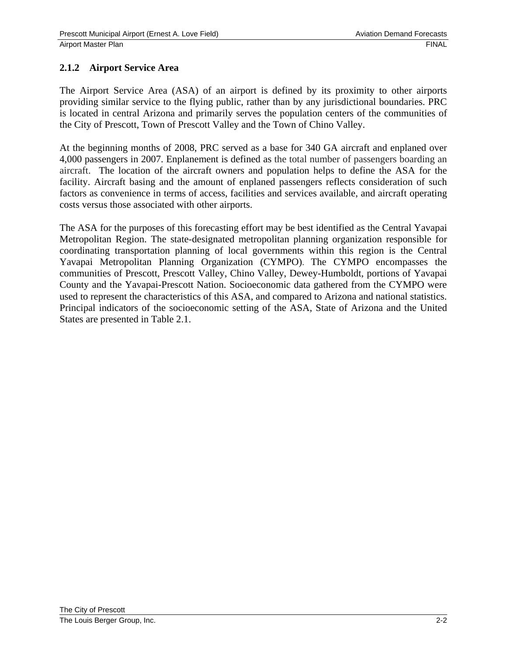## **2.1.2 Airport Service Area**

The Airport Service Area (ASA) of an airport is defined by its proximity to other airports providing similar service to the flying public, rather than by any jurisdictional boundaries. PRC is located in central Arizona and primarily serves the population centers of the communities of the City of Prescott, Town of Prescott Valley and the Town of Chino Valley.

At the beginning months of 2008, PRC served as a base for 340 GA aircraft and enplaned over 4,000 passengers in 2007. Enplanement is defined as the total number of passengers boarding an aircraft. The location of the aircraft owners and population helps to define the ASA for the facility. Aircraft basing and the amount of enplaned passengers reflects consideration of such factors as convenience in terms of access, facilities and services available, and aircraft operating costs versus those associated with other airports.

The ASA for the purposes of this forecasting effort may be best identified as the Central Yavapai Metropolitan Region. The state-designated metropolitan planning organization responsible for coordinating transportation planning of local governments within this region is the Central Yavapai Metropolitan Planning Organization (CYMPO). The CYMPO encompasses the communities of Prescott, Prescott Valley, Chino Valley, Dewey-Humboldt, portions of Yavapai County and the Yavapai-Prescott Nation. Socioeconomic data gathered from the CYMPO were used to represent the characteristics of this ASA, and compared to Arizona and national statistics. Principal indicators of the socioeconomic setting of the ASA, State of Arizona and the United States are presented in Table 2.1.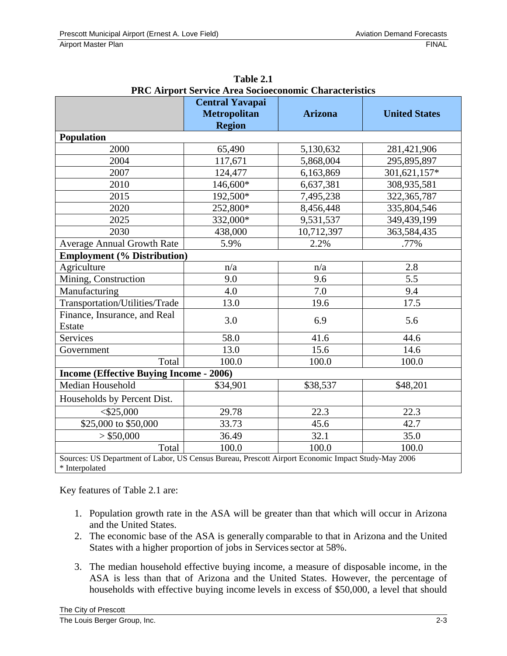| <b>Metropolitan</b><br><b>Region</b>           | <b>Arizona</b> | <b>United States</b>                                                                               |
|------------------------------------------------|----------------|----------------------------------------------------------------------------------------------------|
|                                                |                |                                                                                                    |
| 65,490                                         | 5,130,632      | 281,421,906                                                                                        |
| 117,671                                        | 5,868,004      | 295,895,897                                                                                        |
| 124,477                                        | 6,163,869      | 301,621,157*                                                                                       |
| 146,600*                                       | 6,637,381      | 308,935,581                                                                                        |
| 192,500*                                       | 7,495,238      | 322, 365, 787                                                                                      |
| 252,800*                                       | 8,456,448      | 335,804,546                                                                                        |
| 332,000*                                       | 9,531,537      | 349,439,199                                                                                        |
| 438,000                                        | 10,712,397     | 363,584,435                                                                                        |
| 5.9%                                           | 2.2%           | .77%                                                                                               |
| <b>Employment (% Distribution)</b>             |                |                                                                                                    |
| n/a                                            | n/a            | 2.8                                                                                                |
| 9.0                                            | 9.6            | 5.5                                                                                                |
| 4.0                                            | 7.0            | 9.4                                                                                                |
| 13.0                                           | 19.6           | 17.5                                                                                               |
| 3.0                                            | 6.9            | 5.6                                                                                                |
| 58.0                                           | 41.6           | 44.6                                                                                               |
| 13.0                                           | 15.6           | 14.6                                                                                               |
| 100.0                                          | 100.0          | 100.0                                                                                              |
| <b>Income (Effective Buying Income - 2006)</b> |                |                                                                                                    |
| \$34,901                                       | \$38,537       | \$48,201                                                                                           |
|                                                |                |                                                                                                    |
| 29.78                                          | 22.3           | 22.3                                                                                               |
| 33.73                                          | 45.6           | 42.7                                                                                               |
| 36.49                                          | 32.1           | 35.0                                                                                               |
| 100.0                                          | 100.0          | 100.0                                                                                              |
|                                                |                | Sources: US Department of Labor, US Census Bureau, Prescott Airport Economic Impact Study-May 2006 |

**Table 2.1 PRC Airport Service Area Socioeconomic Characteristics** 

Key features of Table 2.1 are:

- 1. Population growth rate in the ASA will be greater than that which will occur in Arizona and the United States.
- 2. The economic base of the ASA is generally comparable to that in Arizona and the United States with a higher proportion of jobs in Services sector at 58%.
- 3. The median household effective buying income, a measure of disposable income, in the ASA is less than that of Arizona and the United States. However, the percentage of households with effective buying income levels in excess of \$50,000, a level that should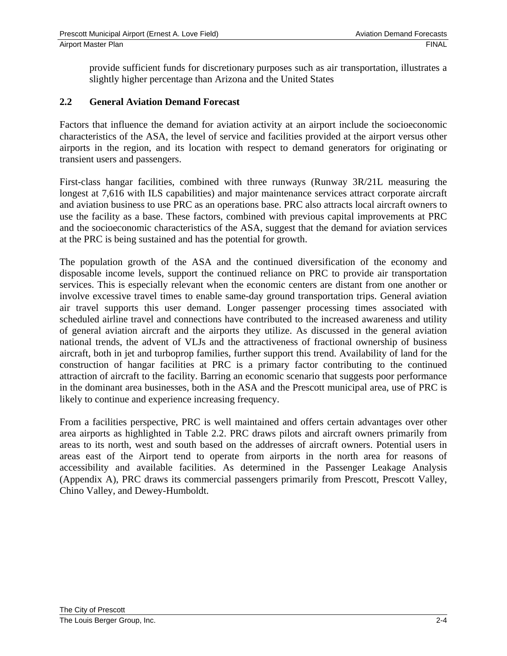provide sufficient funds for discretionary purposes such as air transportation, illustrates a slightly higher percentage than Arizona and the United States

#### **2.2 General Aviation Demand Forecast**

Factors that influence the demand for aviation activity at an airport include the socioeconomic characteristics of the ASA, the level of service and facilities provided at the airport versus other airports in the region, and its location with respect to demand generators for originating or transient users and passengers.

First-class hangar facilities, combined with three runways (Runway 3R/21L measuring the longest at 7,616 with ILS capabilities) and major maintenance services attract corporate aircraft and aviation business to use PRC as an operations base. PRC also attracts local aircraft owners to use the facility as a base. These factors, combined with previous capital improvements at PRC and the socioeconomic characteristics of the ASA, suggest that the demand for aviation services at the PRC is being sustained and has the potential for growth.

The population growth of the ASA and the continued diversification of the economy and disposable income levels, support the continued reliance on PRC to provide air transportation services. This is especially relevant when the economic centers are distant from one another or involve excessive travel times to enable same-day ground transportation trips. General aviation air travel supports this user demand. Longer passenger processing times associated with scheduled airline travel and connections have contributed to the increased awareness and utility of general aviation aircraft and the airports they utilize. As discussed in the general aviation national trends, the advent of VLJs and the attractiveness of fractional ownership of business aircraft, both in jet and turboprop families, further support this trend. Availability of land for the construction of hangar facilities at PRC is a primary factor contributing to the continued attraction of aircraft to the facility. Barring an economic scenario that suggests poor performance in the dominant area businesses, both in the ASA and the Prescott municipal area, use of PRC is likely to continue and experience increasing frequency.

From a facilities perspective, PRC is well maintained and offers certain advantages over other area airports as highlighted in Table 2.2. PRC draws pilots and aircraft owners primarily from areas to its north, west and south based on the addresses of aircraft owners. Potential users in areas east of the Airport tend to operate from airports in the north area for reasons of accessibility and available facilities. As determined in the Passenger Leakage Analysis (Appendix A), PRC draws its commercial passengers primarily from Prescott, Prescott Valley, Chino Valley, and Dewey-Humboldt.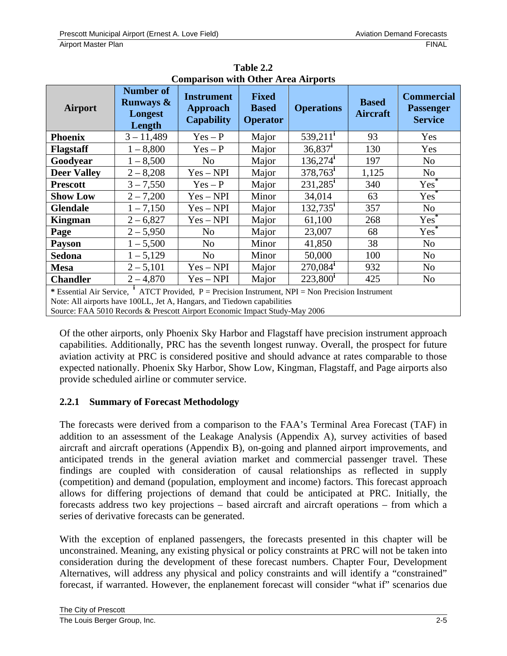|                                                                                                       |                                                               | Comparison with Other Area An ports                       |                                                 |                        |                                 |                                                         |
|-------------------------------------------------------------------------------------------------------|---------------------------------------------------------------|-----------------------------------------------------------|-------------------------------------------------|------------------------|---------------------------------|---------------------------------------------------------|
| <b>Airport</b>                                                                                        | <b>Number of</b><br><b>Runways &amp;</b><br>Longest<br>Length | <b>Instrument</b><br><b>Approach</b><br><b>Capability</b> | <b>Fixed</b><br><b>Based</b><br><b>Operator</b> | <b>Operations</b>      | <b>Based</b><br><b>Aircraft</b> | <b>Commercial</b><br><b>Passenger</b><br><b>Service</b> |
| <b>Phoenix</b>                                                                                        | $3 - 11,489$                                                  | $Yes - P$                                                 | Major                                           | $539,211^i$            | 93                              | Yes                                                     |
| <b>Flagstaff</b>                                                                                      | $1 - 8,800$                                                   | $Yes - P$                                                 | Major                                           | $36,837^{\rm i}$       | 130                             | Yes                                                     |
| Goodyear                                                                                              | $1 - 8,500$                                                   | N <sub>0</sub>                                            | Major                                           | $136,274$ <sup>i</sup> | 197                             | N <sub>o</sub>                                          |
| <b>Deer Valley</b>                                                                                    | $2 - 8,208$                                                   | $Yes - NPI$                                               | Major                                           | $378,763^{\rm i}$      | 1,125                           | N <sub>o</sub>                                          |
| <b>Prescott</b>                                                                                       | $3 - 7,550$                                                   | $Yes - P$                                                 | Major                                           | $231,285^{\rm i}$      | 340                             | Yes <sup>*</sup>                                        |
| <b>Show Low</b>                                                                                       | $2 - 7,200$                                                   | $Yes - NPI$                                               | Minor                                           | 34,014                 | 63                              | Yes <sup>®</sup>                                        |
| <b>Glendale</b>                                                                                       | $1 - 7,150$                                                   | $Yes - NPI$                                               | Major                                           | $132,735^i$            | 357                             | N <sub>o</sub>                                          |
| <b>Kingman</b>                                                                                        | $2 - 6,827$                                                   | $Yes - NPI$                                               | Major                                           | 61,100                 | 268                             | Yes <sup>*</sup>                                        |
| Page                                                                                                  | $2 - 5,950$                                                   | No                                                        | Major                                           | 23,007                 | 68                              | $Yes^*$                                                 |
| <b>Payson</b>                                                                                         | $1 - 5,500$                                                   | N <sub>o</sub>                                            | Minor                                           | 41,850                 | 38                              | N <sub>o</sub>                                          |
| <b>Sedona</b>                                                                                         | $1 - 5,129$                                                   | N <sub>o</sub>                                            | Minor                                           | 50,000                 | 100                             | N <sub>o</sub>                                          |
| <b>Mesa</b>                                                                                           | $2 - 5,101$                                                   | $Yes - NPI$                                               | Major                                           | $270,084$ <sup>i</sup> | 932                             | N <sub>o</sub>                                          |
| <b>Chandler</b>                                                                                       | $2 - 4,870$                                                   | $Yes - NPI$                                               | Major                                           | $223,800^{\rm i}$      | 425                             | N <sub>o</sub>                                          |
| * Essential Air Service, $^1$ ATCT Provided, P = Precision Instrument, NPI = Non Precision Instrument |                                                               |                                                           |                                                 |                        |                                 |                                                         |

**Table 2.2 Comparison with Other Area Airports** 

Note: All airports have 100LL, Jet A, Hangars, and Tiedown capabilities

Source: FAA 5010 Records & Prescott Airport Economic Impact Study-May 2006

Of the other airports, only Phoenix Sky Harbor and Flagstaff have precision instrument approach capabilities. Additionally, PRC has the seventh longest runway. Overall, the prospect for future aviation activity at PRC is considered positive and should advance at rates comparable to those expected nationally. Phoenix Sky Harbor, Show Low, Kingman, Flagstaff, and Page airports also provide scheduled airline or commuter service.

## **2.2.1 Summary of Forecast Methodology**

The forecasts were derived from a comparison to the FAA's Terminal Area Forecast (TAF) in addition to an assessment of the Leakage Analysis (Appendix A), survey activities of based aircraft and aircraft operations (Appendix B), on-going and planned airport improvements, and anticipated trends in the general aviation market and commercial passenger travel. These findings are coupled with consideration of causal relationships as reflected in supply (competition) and demand (population, employment and income) factors. This forecast approach allows for differing projections of demand that could be anticipated at PRC. Initially, the forecasts address two key projections – based aircraft and aircraft operations – from which a series of derivative forecasts can be generated.

With the exception of enplaned passengers, the forecasts presented in this chapter will be unconstrained. Meaning, any existing physical or policy constraints at PRC will not be taken into consideration during the development of these forecast numbers. Chapter Four, Development Alternatives, will address any physical and policy constraints and will identify a "constrained" forecast, if warranted. However, the enplanement forecast will consider "what if" scenarios due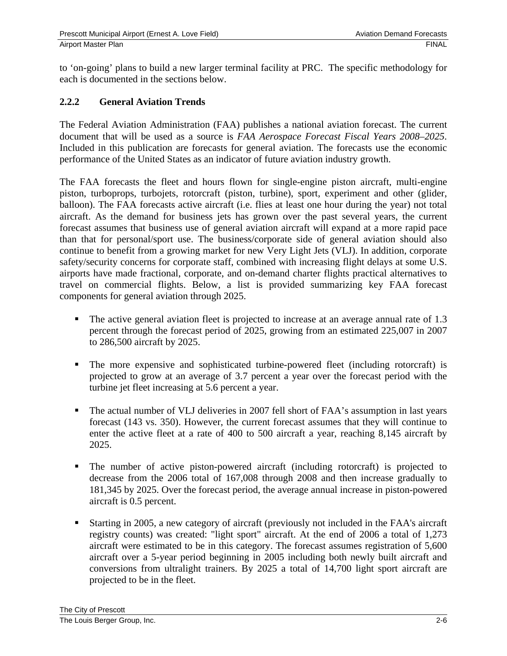to 'on-going' plans to build a new larger terminal facility at PRC. The specific methodology for each is documented in the sections below.

## **2.2.2 General Aviation Trends**

The Federal Aviation Administration (FAA) publishes a national aviation forecast. The current document that will be used as a source is *FAA Aerospace Forecast Fiscal Years 2008–2025*. Included in this publication are forecasts for general aviation. The forecasts use the economic performance of the United States as an indicator of future aviation industry growth.

The FAA forecasts the fleet and hours flown for single-engine piston aircraft, multi-engine piston, turboprops, turbojets, rotorcraft (piston, turbine), sport, experiment and other (glider, balloon). The FAA forecasts active aircraft (i.e. flies at least one hour during the year) not total aircraft. As the demand for business jets has grown over the past several years, the current forecast assumes that business use of general aviation aircraft will expand at a more rapid pace than that for personal/sport use. The business/corporate side of general aviation should also continue to benefit from a growing market for new Very Light Jets (VLJ). In addition, corporate safety/security concerns for corporate staff, combined with increasing flight delays at some U.S. airports have made fractional, corporate, and on-demand charter flights practical alternatives to travel on commercial flights. Below, a list is provided summarizing key FAA forecast components for general aviation through 2025.

- The active general aviation fleet is projected to increase at an average annual rate of 1.3 percent through the forecast period of 2025, growing from an estimated 225,007 in 2007 to 286,500 aircraft by 2025.
- The more expensive and sophisticated turbine-powered fleet (including rotorcraft) is projected to grow at an average of 3.7 percent a year over the forecast period with the turbine jet fleet increasing at 5.6 percent a year.
- The actual number of VLJ deliveries in 2007 fell short of FAA's assumption in last years forecast (143 vs. 350). However, the current forecast assumes that they will continue to enter the active fleet at a rate of 400 to 500 aircraft a year, reaching 8,145 aircraft by 2025.
- The number of active piston-powered aircraft (including rotorcraft) is projected to decrease from the 2006 total of 167,008 through 2008 and then increase gradually to 181,345 by 2025. Over the forecast period, the average annual increase in piston-powered aircraft is 0.5 percent.
- Starting in 2005, a new category of aircraft (previously not included in the FAA's aircraft registry counts) was created: "light sport" aircraft. At the end of 2006 a total of 1,273 aircraft were estimated to be in this category. The forecast assumes registration of 5,600 aircraft over a 5-year period beginning in 2005 including both newly built aircraft and conversions from ultralight trainers. By 2025 a total of 14,700 light sport aircraft are projected to be in the fleet.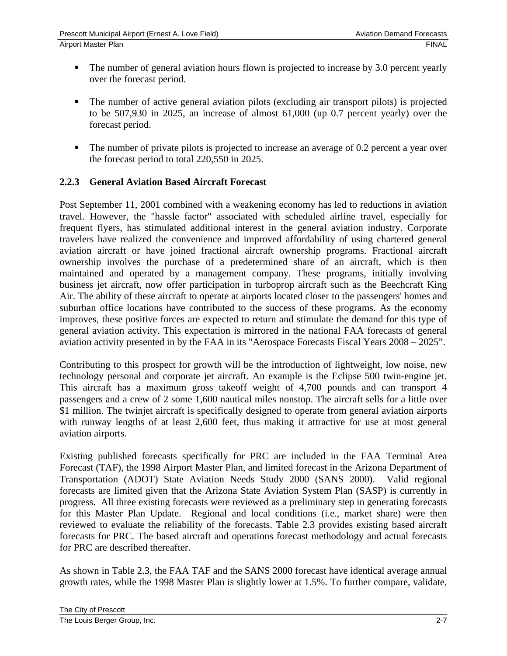- The number of general aviation hours flown is projected to increase by 3.0 percent yearly over the forecast period.
- The number of active general aviation pilots (excluding air transport pilots) is projected to be 507,930 in 2025, an increase of almost 61,000 (up 0.7 percent yearly) over the forecast period.
- The number of private pilots is projected to increase an average of 0.2 percent a year over the forecast period to total 220,550 in 2025.

## **2.2.3 General Aviation Based Aircraft Forecast**

Post September 11, 2001 combined with a weakening economy has led to reductions in aviation travel. However, the "hassle factor" associated with scheduled airline travel, especially for frequent flyers, has stimulated additional interest in the general aviation industry. Corporate travelers have realized the convenience and improved affordability of using chartered general aviation aircraft or have joined fractional aircraft ownership programs. Fractional aircraft ownership involves the purchase of a predetermined share of an aircraft, which is then maintained and operated by a management company. These programs, initially involving business jet aircraft, now offer participation in turboprop aircraft such as the Beechcraft King Air. The ability of these aircraft to operate at airports located closer to the passengers' homes and suburban office locations have contributed to the success of these programs. As the economy improves, these positive forces are expected to return and stimulate the demand for this type of general aviation activity. This expectation is mirrored in the national FAA forecasts of general aviation activity presented in by the FAA in its "Aerospace Forecasts Fiscal Years 2008 – 2025".

Contributing to this prospect for growth will be the introduction of lightweight, low noise, new technology personal and corporate jet aircraft. An example is the Eclipse 500 twin-engine jet. This aircraft has a maximum gross takeoff weight of 4,700 pounds and can transport 4 passengers and a crew of 2 some 1,600 nautical miles nonstop. The aircraft sells for a little over \$1 million. The twinjet aircraft is specifically designed to operate from general aviation airports with runway lengths of at least 2,600 feet, thus making it attractive for use at most general aviation airports.

Existing published forecasts specifically for PRC are included in the FAA Terminal Area Forecast (TAF), the 1998 Airport Master Plan, and limited forecast in the Arizona Department of Transportation (ADOT) State Aviation Needs Study 2000 (SANS 2000). Valid regional forecasts are limited given that the Arizona State Aviation System Plan (SASP) is currently in progress. All three existing forecasts were reviewed as a preliminary step in generating forecasts for this Master Plan Update. Regional and local conditions (i.e., market share) were then reviewed to evaluate the reliability of the forecasts. Table 2.3 provides existing based aircraft forecasts for PRC. The based aircraft and operations forecast methodology and actual forecasts for PRC are described thereafter.

As shown in Table 2.3, the FAA TAF and the SANS 2000 forecast have identical average annual growth rates, while the 1998 Master Plan is slightly lower at 1.5%. To further compare, validate,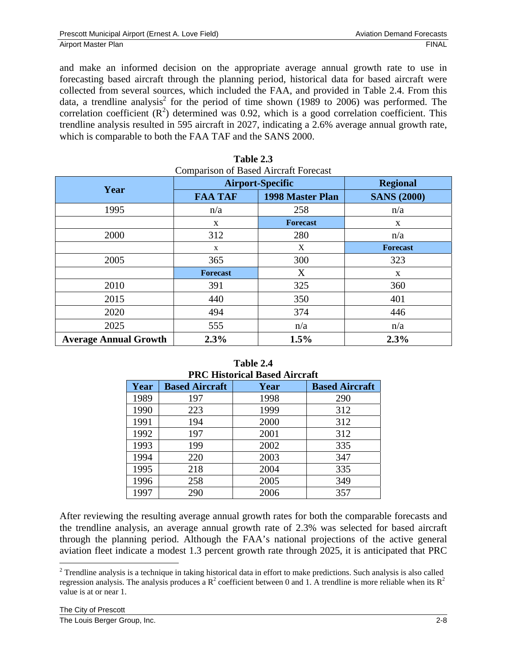and make an informed decision on the appropriate average annual growth rate to use in forecasting based aircraft through the planning period, historical data for based aircraft were collected from several sources, which included the FAA, and provided in Table 2.4. From this data, a trendline analysis<sup>2</sup> for the period of time shown (1989 to 2006) was performed. The correlation coefficient  $(R^2)$  determined was 0.92, which is a good correlation coefficient. This trendline analysis resulted in 595 aircraft in 2027, indicating a 2.6% average annual growth rate, which is comparable to both the FAA TAF and the SANS 2000.

| <b>Comparison of Based Aircraft Forecast</b> | <b>Airport-Specific</b> |                         | <b>Regional</b>    |
|----------------------------------------------|-------------------------|-------------------------|--------------------|
| Year                                         | <b>FAA TAF</b>          | <b>1998 Master Plan</b> | <b>SANS (2000)</b> |
| 1995                                         | n/a                     | 258                     | n/a                |
|                                              | X                       | <b>Forecast</b>         | X                  |
| 2000                                         | 312                     | 280                     | n/a                |
|                                              | X                       | X                       | <b>Forecast</b>    |
| 2005                                         | 365                     | 300                     | 323                |
|                                              | <b>Forecast</b>         | X                       | X                  |
| 2010                                         | 391                     | 325                     | 360                |
| 2015                                         | 440                     | 350                     | 401                |
| 2020                                         | 494                     | 374                     | 446                |
| 2025                                         | 555                     | n/a                     | n/a                |
| <b>Average Annual Growth</b>                 | 2.3%                    | 1.5%                    | 2.3%               |

| Table 2.3 |                                     |
|-----------|-------------------------------------|
|           | 'omparison of Based Aircraft Foreca |

| <b>PRC Historical Based Aircraft</b> |                       |      |                       |  |  |
|--------------------------------------|-----------------------|------|-----------------------|--|--|
| Year                                 | <b>Based Aircraft</b> | Year | <b>Based Aircraft</b> |  |  |
| 1989                                 | 197                   | 1998 | 290                   |  |  |
| 1990                                 | 223                   | 1999 | 312                   |  |  |
| 1991                                 | 194                   | 2000 | 312                   |  |  |
| 1992                                 | 197                   | 2001 | 312                   |  |  |
| 1993                                 | 199                   | 2002 | 335                   |  |  |
| 1994                                 | 220                   | 2003 | 347                   |  |  |
| 1995                                 | 218                   | 2004 | 335                   |  |  |
| 1996                                 | 258                   | 2005 | 349                   |  |  |
| 1997                                 | 290                   | 2006 | 357                   |  |  |

**Table 2.4** 

After reviewing the resulting average annual growth rates for both the comparable forecasts and the trendline analysis, an average annual growth rate of 2.3% was selected for based aircraft through the planning period. Although the FAA's national projections of the active general aviation fleet indicate a modest 1.3 percent growth rate through 2025, it is anticipated that PRC

 $\overline{a}$ 

 $2^2$  Trendline analysis is a technique in taking historical data in effort to make predictions. Such analysis is also called regression analysis. The analysis produces a  $R^2$  coefficient between 0 and 1. A trendline is more reliable when its  $R^2$ value is at or near 1.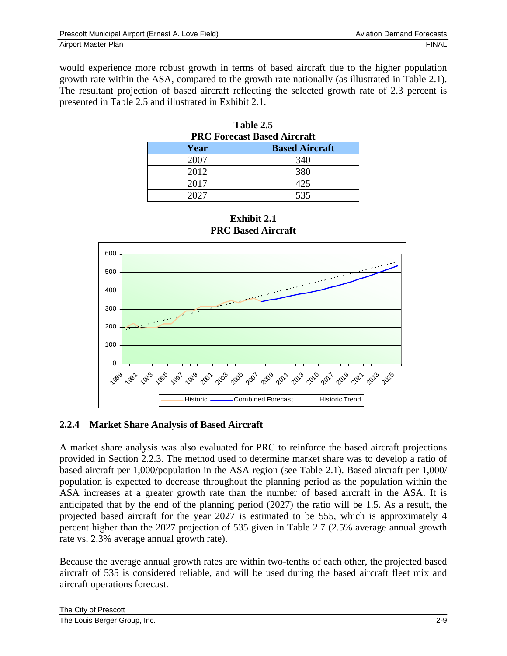would experience more robust growth in terms of based aircraft due to the higher population growth rate within the ASA, compared to the growth rate nationally (as illustrated in Table 2.1). The resultant projection of based aircraft reflecting the selected growth rate of 2.3 percent is presented in Table 2.5 and illustrated in Exhibit 2.1.

| 1 ame <i>4</i> .9<br><b>PRC Forecast Based Aircraft</b> |                       |  |  |  |
|---------------------------------------------------------|-----------------------|--|--|--|
| Year                                                    | <b>Based Aircraft</b> |  |  |  |
| 2007                                                    | 340                   |  |  |  |
| 2012                                                    | 380                   |  |  |  |
| 2017                                                    | 425                   |  |  |  |
| 2027                                                    | 535                   |  |  |  |







#### **2.2.4 Market Share Analysis of Based Aircraft**

A market share analysis was also evaluated for PRC to reinforce the based aircraft projections provided in Section 2.2.3. The method used to determine market share was to develop a ratio of based aircraft per 1,000/population in the ASA region (see Table 2.1). Based aircraft per 1,000/ population is expected to decrease throughout the planning period as the population within the ASA increases at a greater growth rate than the number of based aircraft in the ASA. It is anticipated that by the end of the planning period (2027) the ratio will be 1.5. As a result, the projected based aircraft for the year 2027 is estimated to be 555, which is approximately 4 percent higher than the 2027 projection of 535 given in Table 2.7 (2.5% average annual growth rate vs. 2.3% average annual growth rate).

Because the average annual growth rates are within two-tenths of each other, the projected based aircraft of 535 is considered reliable, and will be used during the based aircraft fleet mix and aircraft operations forecast.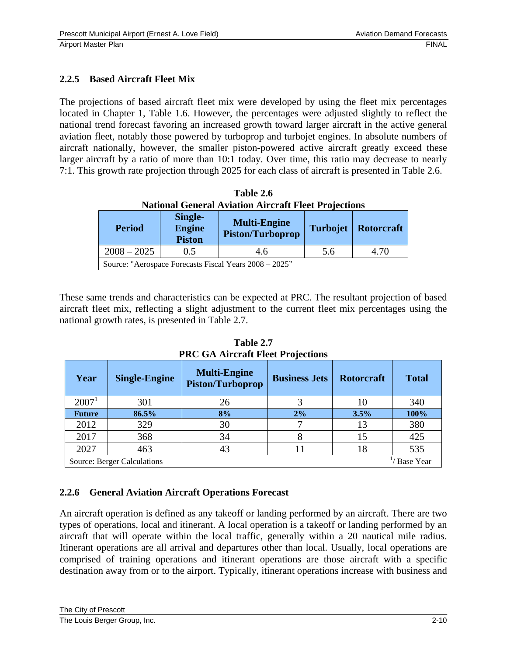## **2.2.5 Based Aircraft Fleet Mix**

The projections of based aircraft fleet mix were developed by using the fleet mix percentages located in Chapter 1, Table 1.6. However, the percentages were adjusted slightly to reflect the national trend forecast favoring an increased growth toward larger aircraft in the active general aviation fleet, notably those powered by turboprop and turbojet engines. In absolute numbers of aircraft nationally, however, the smaller piston-powered active aircraft greatly exceed these larger aircraft by a ratio of more than 10:1 today. Over time, this ratio may decrease to nearly 7:1. This growth rate projection through 2025 for each class of aircraft is presented in Table 2.6.

| Table 2.6                                                   |  |  |  |  |
|-------------------------------------------------------------|--|--|--|--|
| <b>National General Aviation Aircraft Fleet Projections</b> |  |  |  |  |

| <b>Period</b>                                          | Single-<br>Engine<br><b>Piston</b> | <b>Multi-Engine</b><br><b>Piston/Turboprop</b> |     | Turbojet   Rotorcraft |  |  |
|--------------------------------------------------------|------------------------------------|------------------------------------------------|-----|-----------------------|--|--|
| $2008 - 2025$                                          | 0.5                                | 4.6                                            | 5.6 | 4.70                  |  |  |
| Source: "Aerospace Forecasts Fiscal Years 2008 – 2025" |                                    |                                                |     |                       |  |  |

These same trends and characteristics can be expected at PRC. The resultant projection of based aircraft fleet mix, reflecting a slight adjustment to the current fleet mix percentages using the national growth rates, is presented in Table 2.7.

| Year              | <b>Single-Engine</b>                                   | <b>Multi-Engine</b><br><b>Piston/Turboprop</b> | <b>Business Jets</b> | <b>Rotorcraft</b> | <b>Total</b> |  |
|-------------------|--------------------------------------------------------|------------------------------------------------|----------------------|-------------------|--------------|--|
| 2007 <sup>1</sup> | 301                                                    | 26                                             |                      |                   | 340          |  |
| <b>Future</b>     | 86.5%                                                  | 8%                                             | 2%                   | 3.5%              | 100%         |  |
| 2012              | 329                                                    | 30                                             |                      | 13                | 380          |  |
| 2017              | 368                                                    | 34                                             |                      | 15                | 425          |  |
| 2027              | 463                                                    | 43                                             |                      | 18                | 535          |  |
|                   | <b>Base Year</b><br><b>Source: Berger Calculations</b> |                                                |                      |                   |              |  |

**Table 2.7 PRC GA Aircraft Fleet Projections** 

# **2.2.6 General Aviation Aircraft Operations Forecast**

An aircraft operation is defined as any takeoff or landing performed by an aircraft. There are two types of operations, local and itinerant. A local operation is a takeoff or landing performed by an aircraft that will operate within the local traffic, generally within a 20 nautical mile radius. Itinerant operations are all arrival and departures other than local. Usually, local operations are comprised of training operations and itinerant operations are those aircraft with a specific destination away from or to the airport. Typically, itinerant operations increase with business and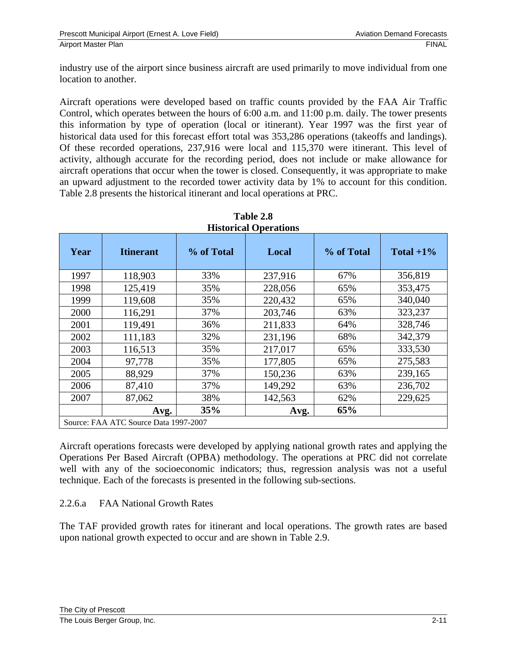industry use of the airport since business aircraft are used primarily to move individual from one location to another.

Aircraft operations were developed based on traffic counts provided by the FAA Air Traffic Control, which operates between the hours of 6:00 a.m. and 11:00 p.m. daily. The tower presents this information by type of operation (local or itinerant). Year 1997 was the first year of historical data used for this forecast effort total was 353,286 operations (takeoffs and landings). Of these recorded operations, 237,916 were local and 115,370 were itinerant. This level of activity, although accurate for the recording period, does not include or make allowance for aircraft operations that occur when the tower is closed. Consequently, it was appropriate to make an upward adjustment to the recorded tower activity data by 1% to account for this condition. Table 2.8 presents the historical itinerant and local operations at PRC.

| Year | <b>Itinerant</b>                      | % of Total | Local   | % of Total | Total $+1\%$ |
|------|---------------------------------------|------------|---------|------------|--------------|
| 1997 | 118,903                               | 33%        | 237,916 | 67%        | 356,819      |
| 1998 | 125,419                               | 35%        | 228,056 | 65%        | 353,475      |
| 1999 | 119,608                               | 35%        | 220,432 | 65%        | 340,040      |
| 2000 | 116,291                               | 37%        | 203,746 | 63%        | 323,237      |
| 2001 | 119,491                               | 36%        | 211,833 | 64%        | 328,746      |
| 2002 | 111,183                               | 32%        | 231,196 | 68%        | 342,379      |
| 2003 | 116,513                               | 35%        | 217,017 | 65%        | 333,530      |
| 2004 | 97,778                                | 35%        | 177,805 | 65%        | 275,583      |
| 2005 | 88,929                                | 37%        | 150,236 | 63%        | 239,165      |
| 2006 | 87,410                                | 37%        | 149,292 | 63%        | 236,702      |
| 2007 | 87,062                                | 38%        | 142,563 | 62%        | 229,625      |
|      | Avg.                                  | 35%        | Avg.    | 65%        |              |
|      | Source: FAA ATC Source Data 1997-2007 |            |         |            |              |

**Table 2.8 Historical Operations** 

Aircraft operations forecasts were developed by applying national growth rates and applying the Operations Per Based Aircraft (OPBA) methodology. The operations at PRC did not correlate well with any of the socioeconomic indicators; thus, regression analysis was not a useful technique. Each of the forecasts is presented in the following sub-sections.

#### 2.2.6.a FAA National Growth Rates

The TAF provided growth rates for itinerant and local operations. The growth rates are based upon national growth expected to occur and are shown in Table 2.9.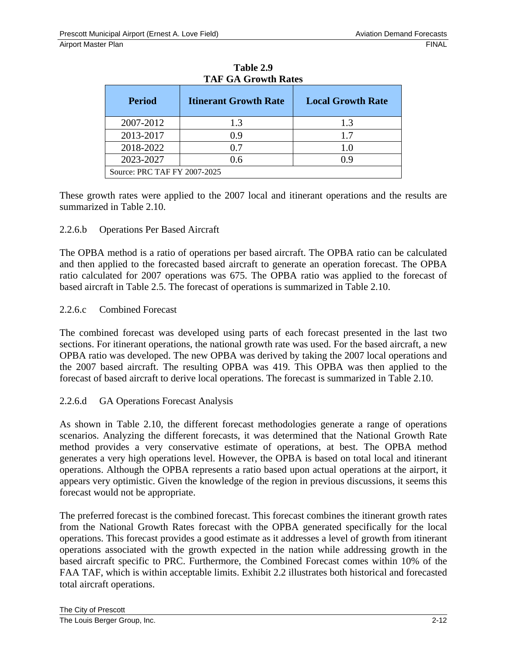| <b>Period</b>                | <b>Itinerant Growth Rate</b> | <b>Local Growth Rate</b> |  |  |  |
|------------------------------|------------------------------|--------------------------|--|--|--|
| 2007-2012                    | 1.3                          | 1.3                      |  |  |  |
| 2013-2017                    | 0.9                          | 1.7                      |  |  |  |
| 2018-2022                    | 0.7                          | 10                       |  |  |  |
| 2023-2027                    | 0.6                          | 0.9                      |  |  |  |
| Source: PRC TAF FY 2007-2025 |                              |                          |  |  |  |

**Table 2.9 TAF GA Growth Rates** 

These growth rates were applied to the 2007 local and itinerant operations and the results are summarized in Table 2.10.

#### 2.2.6.b Operations Per Based Aircraft

The OPBA method is a ratio of operations per based aircraft. The OPBA ratio can be calculated and then applied to the forecasted based aircraft to generate an operation forecast. The OPBA ratio calculated for 2007 operations was 675. The OPBA ratio was applied to the forecast of based aircraft in Table 2.5. The forecast of operations is summarized in Table 2.10.

#### 2.2.6.c Combined Forecast

The combined forecast was developed using parts of each forecast presented in the last two sections. For itinerant operations, the national growth rate was used. For the based aircraft, a new OPBA ratio was developed. The new OPBA was derived by taking the 2007 local operations and the 2007 based aircraft. The resulting OPBA was 419. This OPBA was then applied to the forecast of based aircraft to derive local operations. The forecast is summarized in Table 2.10.

#### 2.2.6.d GA Operations Forecast Analysis

As shown in Table 2.10, the different forecast methodologies generate a range of operations scenarios. Analyzing the different forecasts, it was determined that the National Growth Rate method provides a very conservative estimate of operations, at best. The OPBA method generates a very high operations level. However, the OPBA is based on total local and itinerant operations. Although the OPBA represents a ratio based upon actual operations at the airport, it appears very optimistic. Given the knowledge of the region in previous discussions, it seems this forecast would not be appropriate.

The preferred forecast is the combined forecast. This forecast combines the itinerant growth rates from the National Growth Rates forecast with the OPBA generated specifically for the local operations. This forecast provides a good estimate as it addresses a level of growth from itinerant operations associated with the growth expected in the nation while addressing growth in the based aircraft specific to PRC. Furthermore, the Combined Forecast comes within 10% of the FAA TAF, which is within acceptable limits. Exhibit 2.2 illustrates both historical and forecasted total aircraft operations.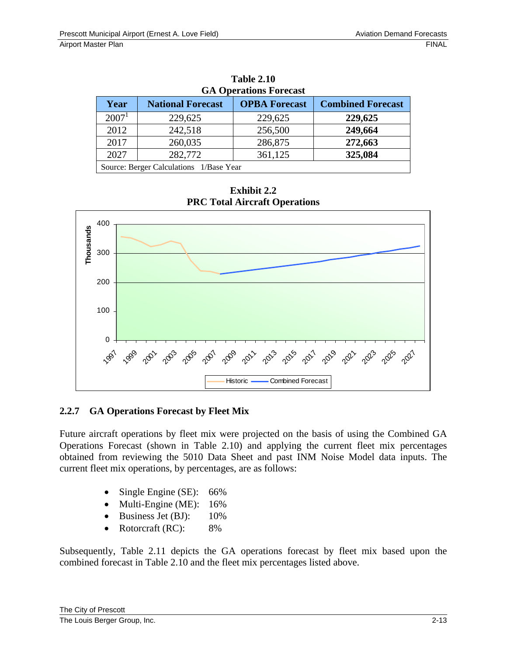| <b>GA Operations Forecast</b>           |                          |                      |                          |  |  |  |
|-----------------------------------------|--------------------------|----------------------|--------------------------|--|--|--|
| Year                                    | <b>National Forecast</b> | <b>OPBA Forecast</b> | <b>Combined Forecast</b> |  |  |  |
| 2007 <sup>1</sup>                       | 229,625                  | 229,625              | 229,625                  |  |  |  |
| 2012                                    | 242,518                  | 256,500              | 249,664                  |  |  |  |
| 2017                                    | 260,035                  | 286,875              | 272,663                  |  |  |  |
| 2027                                    | 282,772                  | 361,125              | 325,084                  |  |  |  |
| Source: Berger Calculations 1/Base Year |                          |                      |                          |  |  |  |

**Table 2.10 GA Operations Forecast** 

**Exhibit 2.2 PRC Total Aircraft Operations** 



# **2.2.7 GA Operations Forecast by Fleet Mix**

Future aircraft operations by fleet mix were projected on the basis of using the Combined GA Operations Forecast (shown in Table 2.10) and applying the current fleet mix percentages obtained from reviewing the 5010 Data Sheet and past INM Noise Model data inputs. The current fleet mix operations, by percentages, are as follows:

- Single Engine (SE): 66%
- Multi-Engine (ME): 16%
- Business Jet (BJ): 10%
- Rotorcraft (RC): 8%

Subsequently, Table 2.11 depicts the GA operations forecast by fleet mix based upon the combined forecast in Table 2.10 and the fleet mix percentages listed above.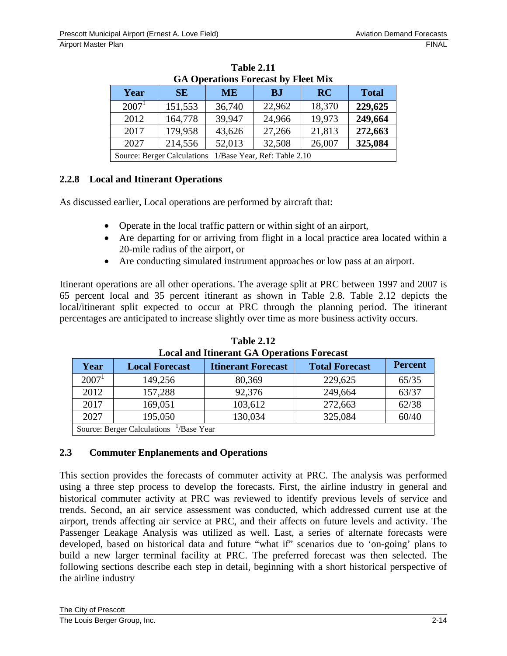| WA OPERATIONS FORECASE DY FIECE IVITA                    |           |           |           |           |              |
|----------------------------------------------------------|-----------|-----------|-----------|-----------|--------------|
| Year                                                     | <b>SE</b> | <b>ME</b> | <b>BJ</b> | <b>RC</b> | <b>Total</b> |
| $2007^1$                                                 | 151,553   | 36,740    | 22,962    | 18,370    | 229,625      |
| 2012                                                     | 164,778   | 39,947    | 24,966    | 19,973    | 249,664      |
| 2017                                                     | 179,958   | 43,626    | 27,266    | 21,813    | 272,663      |
| 214,556<br>52,013<br>32,508<br>2027<br>26,007<br>325,084 |           |           |           |           |              |
| Source: Berger Calculations 1/Base Year, Ref: Table 2.10 |           |           |           |           |              |

**Table 2.11 GA Operations Forecast by Fleet Mix** 

## **2.2.8 Local and Itinerant Operations**

As discussed earlier, Local operations are performed by aircraft that:

- Operate in the local traffic pattern or within sight of an airport,
- Are departing for or arriving from flight in a local practice area located within a 20-mile radius of the airport, or
- Are conducting simulated instrument approaches or low pass at an airport.

Itinerant operations are all other operations. The average split at PRC between 1997 and 2007 is 65 percent local and 35 percent itinerant as shown in Table 2.8. Table 2.12 depicts the local/itinerant split expected to occur at PRC through the planning period. The itinerant percentages are anticipated to increase slightly over time as more business activity occurs.

| Local and functum off Operations I of ecuse         |                       |                           |                       |                |
|-----------------------------------------------------|-----------------------|---------------------------|-----------------------|----------------|
| Year                                                | <b>Local Forecast</b> | <b>Itinerant Forecast</b> | <b>Total Forecast</b> | <b>Percent</b> |
| 2007 <sup>1</sup>                                   | 149,256               | 80,369                    | 229,625               | 65/35          |
| 2012                                                | 157,288               | 92,376                    | 249,664               | 63/37          |
| 62/38<br>2017<br>103,612<br>272,663<br>169,051      |                       |                           |                       |                |
| 60/40<br>2027<br>325,084<br>195,050<br>130,034      |                       |                           |                       |                |
| Source: Berger Calculations <sup>1</sup> /Base Year |                       |                           |                       |                |

**Table 2.12 Local and Itinerant GA Operations Forecast** 

## **2.3 Commuter Enplanements and Operations**

This section provides the forecasts of commuter activity at PRC. The analysis was performed using a three step process to develop the forecasts. First, the airline industry in general and historical commuter activity at PRC was reviewed to identify previous levels of service and trends. Second, an air service assessment was conducted, which addressed current use at the airport, trends affecting air service at PRC, and their affects on future levels and activity. The Passenger Leakage Analysis was utilized as well. Last, a series of alternate forecasts were developed, based on historical data and future "what if" scenarios due to 'on-going' plans to build a new larger terminal facility at PRC. The preferred forecast was then selected. The following sections describe each step in detail, beginning with a short historical perspective of the airline industry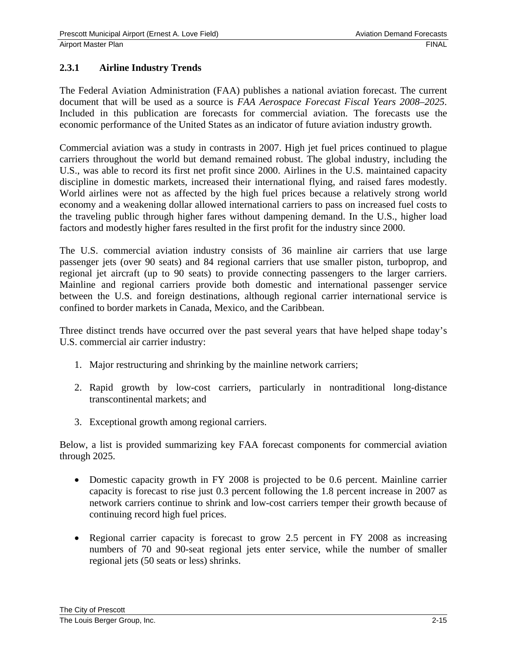## **2.3.1 Airline Industry Trends**

The Federal Aviation Administration (FAA) publishes a national aviation forecast. The current document that will be used as a source is *FAA Aerospace Forecast Fiscal Years 2008–2025*. Included in this publication are forecasts for commercial aviation. The forecasts use the economic performance of the United States as an indicator of future aviation industry growth.

Commercial aviation was a study in contrasts in 2007. High jet fuel prices continued to plague carriers throughout the world but demand remained robust. The global industry, including the U.S., was able to record its first net profit since 2000. Airlines in the U.S. maintained capacity discipline in domestic markets, increased their international flying, and raised fares modestly. World airlines were not as affected by the high fuel prices because a relatively strong world economy and a weakening dollar allowed international carriers to pass on increased fuel costs to the traveling public through higher fares without dampening demand. In the U.S., higher load factors and modestly higher fares resulted in the first profit for the industry since 2000.

The U.S. commercial aviation industry consists of 36 mainline air carriers that use large passenger jets (over 90 seats) and 84 regional carriers that use smaller piston, turboprop, and regional jet aircraft (up to 90 seats) to provide connecting passengers to the larger carriers. Mainline and regional carriers provide both domestic and international passenger service between the U.S. and foreign destinations, although regional carrier international service is confined to border markets in Canada, Mexico, and the Caribbean.

Three distinct trends have occurred over the past several years that have helped shape today's U.S. commercial air carrier industry:

- 1. Major restructuring and shrinking by the mainline network carriers;
- 2. Rapid growth by low-cost carriers, particularly in nontraditional long-distance transcontinental markets; and
- 3. Exceptional growth among regional carriers.

Below, a list is provided summarizing key FAA forecast components for commercial aviation through 2025.

- Domestic capacity growth in FY 2008 is projected to be 0.6 percent. Mainline carrier capacity is forecast to rise just 0.3 percent following the 1.8 percent increase in 2007 as network carriers continue to shrink and low-cost carriers temper their growth because of continuing record high fuel prices.
- Regional carrier capacity is forecast to grow 2.5 percent in FY 2008 as increasing numbers of 70 and 90-seat regional jets enter service, while the number of smaller regional jets (50 seats or less) shrinks.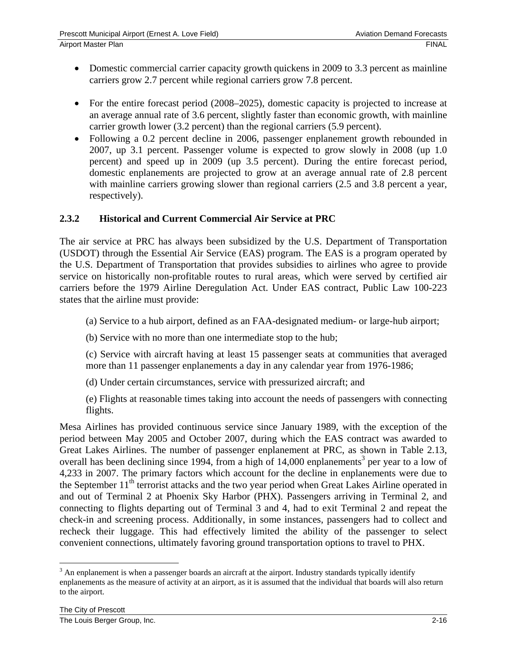- Domestic commercial carrier capacity growth quickens in 2009 to 3.3 percent as mainline carriers grow 2.7 percent while regional carriers grow 7.8 percent.
- For the entire forecast period (2008–2025), domestic capacity is projected to increase at an average annual rate of 3.6 percent, slightly faster than economic growth, with mainline carrier growth lower (3.2 percent) than the regional carriers (5.9 percent).
- Following a 0.2 percent decline in 2006, passenger enplanement growth rebounded in 2007, up 3.1 percent. Passenger volume is expected to grow slowly in 2008 (up 1.0 percent) and speed up in 2009 (up 3.5 percent). During the entire forecast period, domestic enplanements are projected to grow at an average annual rate of 2.8 percent with mainline carriers growing slower than regional carriers  $(2.5 \text{ and } 3.8 \text{ percent a year})$ respectively).

## **2.3.2 Historical and Current Commercial Air Service at PRC**

The air service at PRC has always been subsidized by the U.S. Department of Transportation (USDOT) through the Essential Air Service (EAS) program. The EAS is a program operated by the U.S. Department of Transportation that provides subsidies to airlines who agree to provide service on historically non-profitable routes to rural areas, which were served by certified air carriers before the 1979 Airline Deregulation Act. Under EAS contract, Public Law 100-223 states that the airline must provide:

- (a) Service to a hub airport, defined as an FAA-designated medium- or large-hub airport;
- (b) Service with no more than one intermediate stop to the hub;

(c) Service with aircraft having at least 15 passenger seats at communities that averaged more than 11 passenger enplanements a day in any calendar year from 1976-1986;

(d) Under certain circumstances, service with pressurized aircraft; and

(e) Flights at reasonable times taking into account the needs of passengers with connecting flights.

Mesa Airlines has provided continuous service since January 1989, with the exception of the period between May 2005 and October 2007, during which the EAS contract was awarded to Great Lakes Airlines. The number of passenger enplanement at PRC, as shown in Table 2.13, overall has been declining since 1994, from a high of 14,000 enplanements<sup>3</sup> per year to a low of 4,233 in 2007. The primary factors which account for the decline in enplanements were due to the September  $11<sup>th</sup>$  terrorist attacks and the two year period when Great Lakes Airline operated in and out of Terminal 2 at Phoenix Sky Harbor (PHX). Passengers arriving in Terminal 2, and connecting to flights departing out of Terminal 3 and 4, had to exit Terminal 2 and repeat the check-in and screening process. Additionally, in some instances, passengers had to collect and recheck their luggage. This had effectively limited the ability of the passenger to select convenient connections, ultimately favoring ground transportation options to travel to PHX.

 $\overline{a}$ 

 $3$  An enplanement is when a passenger boards an aircraft at the airport. Industry standards typically identify enplanements as the measure of activity at an airport, as it is assumed that the individual that boards will also return to the airport.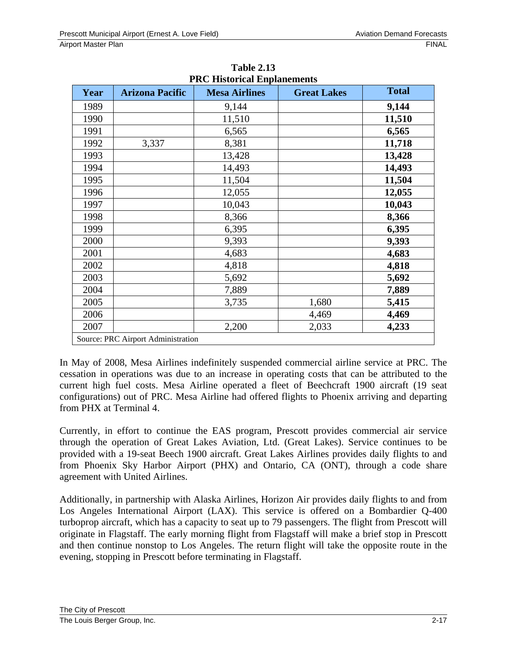| <b>PRC Historical Enplanements</b> |                                    |                      |                    |              |
|------------------------------------|------------------------------------|----------------------|--------------------|--------------|
| Year                               | <b>Arizona Pacific</b>             | <b>Mesa Airlines</b> | <b>Great Lakes</b> | <b>Total</b> |
| 1989                               |                                    | 9,144                |                    | 9,144        |
| 1990                               |                                    | 11,510               |                    | 11,510       |
| 1991                               |                                    | 6,565                |                    | 6,565        |
| 1992                               | 3,337                              | 8,381                |                    | 11,718       |
| 1993                               |                                    | 13,428               |                    | 13,428       |
| 1994                               |                                    | 14,493               |                    | 14,493       |
| 1995                               |                                    | 11,504               |                    | 11,504       |
| 1996                               |                                    | 12,055               |                    | 12,055       |
| 1997                               |                                    | 10,043               |                    | 10,043       |
| 1998                               |                                    | 8,366                |                    | 8,366        |
| 1999                               |                                    | 6,395                |                    | 6,395        |
| 2000                               |                                    | 9,393                |                    | 9,393        |
| 2001                               |                                    | 4,683                |                    | 4,683        |
| 2002                               |                                    | 4,818                |                    | 4,818        |
| 2003                               |                                    | 5,692                |                    | 5,692        |
| 2004                               |                                    | 7,889                |                    | 7,889        |
| 2005                               |                                    | 3,735                | 1,680              | 5,415        |
| 2006                               |                                    |                      | 4,469              | 4,469        |
| 2007                               |                                    | 2,200                | 2,033              | 4,233        |
|                                    | Source: PRC Airport Administration |                      |                    |              |

**Table 2.13 PRC Historical Enplanements** 

In May of 2008, Mesa Airlines indefinitely suspended commercial airline service at PRC. The cessation in operations was due to an increase in operating costs that can be attributed to the current high fuel costs. Mesa Airline operated a fleet of Beechcraft 1900 aircraft (19 seat configurations) out of PRC. Mesa Airline had offered flights to Phoenix arriving and departing from PHX at Terminal 4.

Currently, in effort to continue the EAS program, Prescott provides commercial air service through the operation of Great Lakes Aviation, Ltd. (Great Lakes). Service continues to be provided with a 19-seat Beech 1900 aircraft. Great Lakes Airlines provides daily flights to and from Phoenix Sky Harbor Airport (PHX) and Ontario, CA (ONT), through a code share agreement with United Airlines.

Additionally, in partnership with Alaska Airlines, Horizon Air provides daily flights to and from Los Angeles International Airport (LAX). This service is offered on a Bombardier Q-400 turboprop aircraft, which has a capacity to seat up to 79 passengers. The flight from Prescott will originate in Flagstaff. The early morning flight from Flagstaff will make a brief stop in Prescott and then continue nonstop to Los Angeles. The return flight will take the opposite route in the evening, stopping in Prescott before terminating in Flagstaff.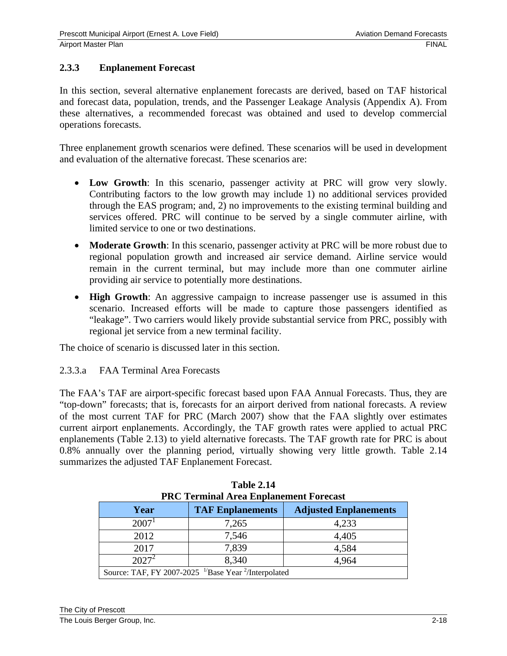## **2.3.3 Enplanement Forecast**

In this section, several alternative enplanement forecasts are derived, based on TAF historical and forecast data, population, trends, and the Passenger Leakage Analysis (Appendix A). From these alternatives, a recommended forecast was obtained and used to develop commercial operations forecasts.

Three enplanement growth scenarios were defined. These scenarios will be used in development and evaluation of the alternative forecast. These scenarios are:

- **Low Growth**: In this scenario, passenger activity at PRC will grow very slowly. Contributing factors to the low growth may include 1) no additional services provided through the EAS program; and, 2) no improvements to the existing terminal building and services offered. PRC will continue to be served by a single commuter airline, with limited service to one or two destinations.
- **Moderate Growth**: In this scenario, passenger activity at PRC will be more robust due to regional population growth and increased air service demand. Airline service would remain in the current terminal, but may include more than one commuter airline providing air service to potentially more destinations.
- **High Growth**: An aggressive campaign to increase passenger use is assumed in this scenario. Increased efforts will be made to capture those passengers identified as "leakage". Two carriers would likely provide substantial service from PRC, possibly with regional jet service from a new terminal facility.

The choice of scenario is discussed later in this section.

#### 2.3.3.a FAA Terminal Area Forecasts

The FAA's TAF are airport-specific forecast based upon FAA Annual Forecasts. Thus, they are "top-down" forecasts; that is, forecasts for an airport derived from national forecasts. A review of the most current TAF for PRC (March 2007) show that the FAA slightly over estimates current airport enplanements. Accordingly, the TAF growth rates were applied to actual PRC enplanements (Table 2.13) to yield alternative forecasts. The TAF growth rate for PRC is about 0.8% annually over the planning period, virtually showing very little growth. Table 2.14 summarizes the adjusted TAF Enplanement Forecast.

| FRU Terninal Area Enplanement Forecast                                       |       |       |  |
|------------------------------------------------------------------------------|-------|-------|--|
| <b>TAF Enplanements</b><br><b>Adjusted Enplanements</b><br>Year              |       |       |  |
| $2007^1$                                                                     | 7,265 | 4,233 |  |
| 2012                                                                         | 7,546 | 4,405 |  |
| 2017                                                                         | 7,839 | 4,584 |  |
| $2027^2$<br>8,340<br>4,964                                                   |       |       |  |
| Source: TAF, FY 2007-2025 <sup>1/</sup> Base Year <sup>2</sup> /Interpolated |       |       |  |

| <b>Table 2.14</b>                             |
|-----------------------------------------------|
| <b>PRC Terminal Area Enplanement Forecast</b> |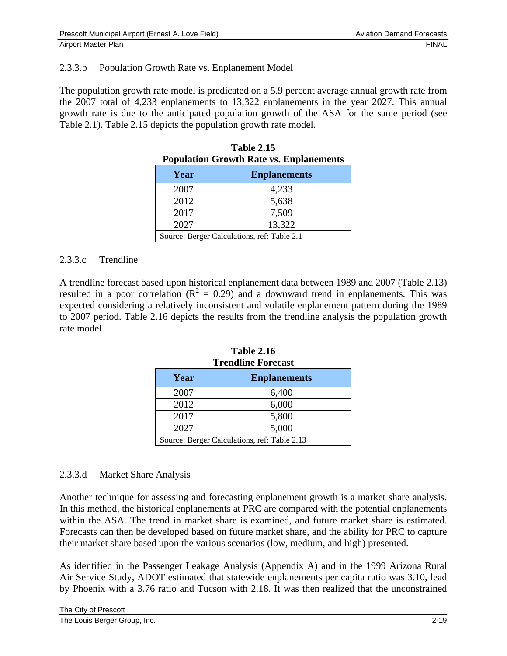#### 2.3.3.b Population Growth Rate vs. Enplanement Model

The population growth rate model is predicated on a 5.9 percent average annual growth rate from the 2007 total of 4,233 enplanements to 13,322 enplanements in the year 2027. This annual growth rate is due to the anticipated population growth of the ASA for the same period (see Table 2.1). Table 2.15 depicts the population growth rate model.

| r opulation Growth Kate vs. Emplanements    |                     |  |
|---------------------------------------------|---------------------|--|
| Year                                        | <b>Enplanements</b> |  |
| 2007                                        | 4,233               |  |
| 2012                                        | 5,638               |  |
| 2017                                        | 7,509               |  |
| 13,322<br>2027                              |                     |  |
| Source: Berger Calculations, ref: Table 2.1 |                     |  |
|                                             |                     |  |

| <b>Population Growth Rate vs. Enplanements</b> | <b>Table 2.15</b> |  |
|------------------------------------------------|-------------------|--|
|                                                |                   |  |

#### 2.3.3.c Trendline

A trendline forecast based upon historical enplanement data between 1989 and 2007 (Table 2.13) resulted in a poor correlation ( $R^2 = 0.29$ ) and a downward trend in enplanements. This was expected considering a relatively inconsistent and volatile enplanement pattern during the 1989 to 2007 period. Table 2.16 depicts the results from the trendline analysis the population growth rate model.

| Trendline Forecast                           |                     |  |
|----------------------------------------------|---------------------|--|
| Year                                         | <b>Enplanements</b> |  |
| 2007                                         | 6,400               |  |
| 2012                                         | 6,000               |  |
| 2017<br>5,800                                |                     |  |
| 2027<br>5,000                                |                     |  |
| Source: Berger Calculations, ref: Table 2.13 |                     |  |

**Table 2.16 Trendline Forecast**

#### 2.3.3.d Market Share Analysis

Another technique for assessing and forecasting enplanement growth is a market share analysis. In this method, the historical enplanements at PRC are compared with the potential enplanements within the ASA. The trend in market share is examined, and future market share is estimated. Forecasts can then be developed based on future market share, and the ability for PRC to capture their market share based upon the various scenarios (low, medium, and high) presented.

As identified in the Passenger Leakage Analysis (Appendix A) and in the 1999 Arizona Rural Air Service Study, ADOT estimated that statewide enplanements per capita ratio was 3.10, lead by Phoenix with a 3.76 ratio and Tucson with 2.18. It was then realized that the unconstrained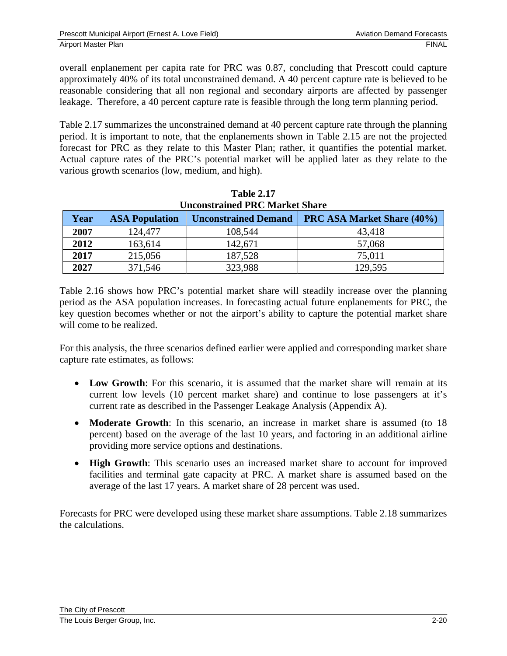overall enplanement per capita rate for PRC was 0.87, concluding that Prescott could capture approximately 40% of its total unconstrained demand. A 40 percent capture rate is believed to be reasonable considering that all non regional and secondary airports are affected by passenger leakage. Therefore, a 40 percent capture rate is feasible through the long term planning period.

Table 2.17 summarizes the unconstrained demand at 40 percent capture rate through the planning period. It is important to note, that the enplanements shown in Table 2.15 are not the projected forecast for PRC as they relate to this Master Plan; rather, it quantifies the potential market. Actual capture rates of the PRC's potential market will be applied later as they relate to the various growth scenarios (low, medium, and high).

| Year | <b>ASA Population</b> | <b>Unconstrained Demand</b> | <b>PRC ASA Market Share (40%)</b> |
|------|-----------------------|-----------------------------|-----------------------------------|
| 2007 | 124,477               | 108,544                     | 43,418                            |
| 2012 | 163,614               | 142,671                     | 57,068                            |
| 2017 | 215,056               | 187,528                     | 75,011                            |
| 2027 | 371,546               | 323,988                     | 129,595                           |

| <b>Table 2.17</b>                     |
|---------------------------------------|
| <b>Unconstrained PRC Market Share</b> |

Table 2.16 shows how PRC's potential market share will steadily increase over the planning period as the ASA population increases. In forecasting actual future enplanements for PRC, the key question becomes whether or not the airport's ability to capture the potential market share will come to be realized.

For this analysis, the three scenarios defined earlier were applied and corresponding market share capture rate estimates, as follows:

- Low Growth: For this scenario, it is assumed that the market share will remain at its current low levels (10 percent market share) and continue to lose passengers at it's current rate as described in the Passenger Leakage Analysis (Appendix A).
- **Moderate Growth**: In this scenario, an increase in market share is assumed (to 18 percent) based on the average of the last 10 years, and factoring in an additional airline providing more service options and destinations.
- **High Growth**: This scenario uses an increased market share to account for improved facilities and terminal gate capacity at PRC. A market share is assumed based on the average of the last 17 years. A market share of 28 percent was used.

Forecasts for PRC were developed using these market share assumptions. Table 2.18 summarizes the calculations.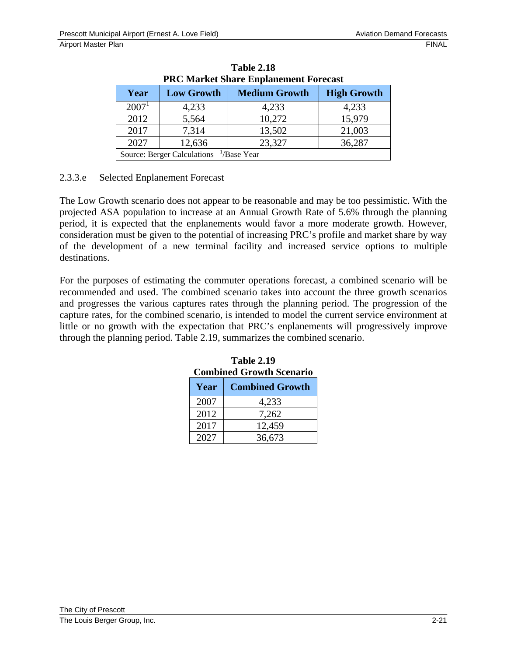| <b>PRC Market Share Enplanement Forecast</b>                  |                   |                      |                    |  |  |
|---------------------------------------------------------------|-------------------|----------------------|--------------------|--|--|
| Year                                                          | <b>Low Growth</b> | <b>Medium Growth</b> | <b>High Growth</b> |  |  |
| 2007 <sup>1</sup>                                             | 4,233             | 4,233                | 4,233              |  |  |
| 2012                                                          | 5,564             | 10,272               | 15,979             |  |  |
| 2017                                                          | 7,314             | 13,502               | 21,003             |  |  |
| 23,327<br>2027<br>12,636<br>36,287                            |                   |                      |                    |  |  |
| <b>Source: Berger Calculations</b><br><sup>1</sup> /Base Year |                   |                      |                    |  |  |

**Table 2.18 PRC Market Share Enplanement Forecast** 

#### 2.3.3.e Selected Enplanement Forecast

The Low Growth scenario does not appear to be reasonable and may be too pessimistic. With the projected ASA population to increase at an Annual Growth Rate of 5.6% through the planning period, it is expected that the enplanements would favor a more moderate growth. However, consideration must be given to the potential of increasing PRC's profile and market share by way of the development of a new terminal facility and increased service options to multiple destinations.

For the purposes of estimating the commuter operations forecast, a combined scenario will be recommended and used. The combined scenario takes into account the three growth scenarios and progresses the various captures rates through the planning period. The progression of the capture rates, for the combined scenario, is intended to model the current service environment at little or no growth with the expectation that PRC's enplanements will progressively improve through the planning period. Table 2.19, summarizes the combined scenario.

| <b>Combined Growth Scenario</b> |        |  |
|---------------------------------|--------|--|
| <b>Combined Growth</b><br>Year  |        |  |
| 2007                            | 4,233  |  |
| 2012                            | 7,262  |  |
| 2017                            | 12,459 |  |
| 2027                            | 36,673 |  |

**Table 2.19 Combined Growth Scenario**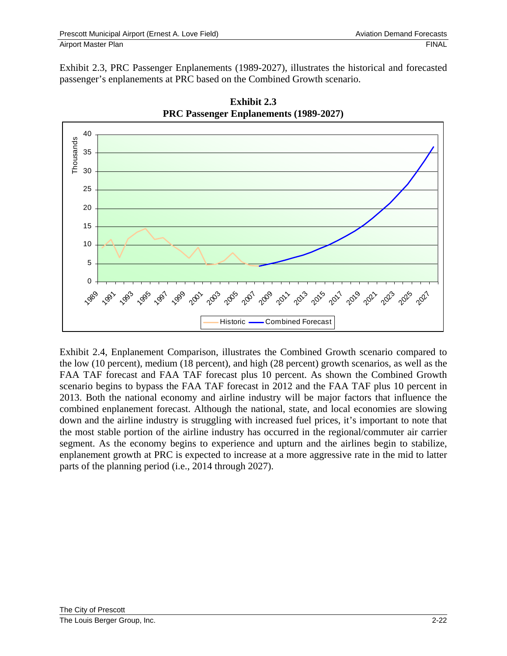Exhibit 2.3, PRC Passenger Enplanements (1989-2027), illustrates the historical and forecasted passenger's enplanements at PRC based on the Combined Growth scenario.





Exhibit 2.4, Enplanement Comparison, illustrates the Combined Growth scenario compared to the low (10 percent), medium (18 percent), and high (28 percent) growth scenarios, as well as the FAA TAF forecast and FAA TAF forecast plus 10 percent. As shown the Combined Growth scenario begins to bypass the FAA TAF forecast in 2012 and the FAA TAF plus 10 percent in 2013. Both the national economy and airline industry will be major factors that influence the combined enplanement forecast. Although the national, state, and local economies are slowing down and the airline industry is struggling with increased fuel prices, it's important to note that the most stable portion of the airline industry has occurred in the regional/commuter air carrier segment. As the economy begins to experience and upturn and the airlines begin to stabilize, enplanement growth at PRC is expected to increase at a more aggressive rate in the mid to latter parts of the planning period (i.e., 2014 through 2027).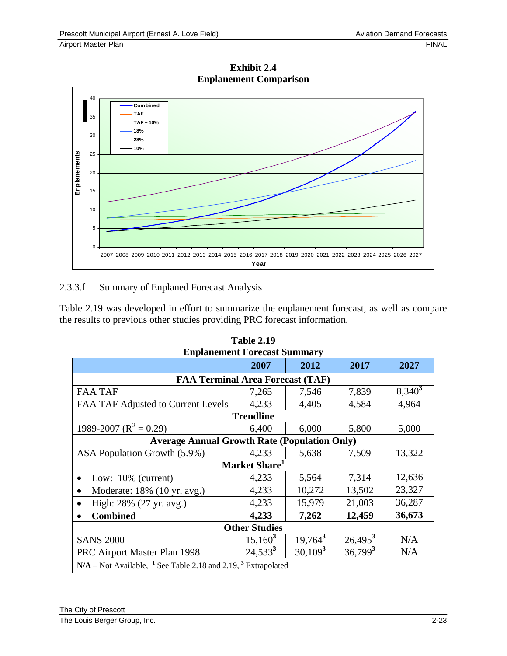

**Exhibit 2.4 Enplanement Comparison** 

## 2.3.3.f Summary of Enplaned Forecast Analysis

Table 2.19 was developed in effort to summarize the enplanement forecast, as well as compare the results to previous other studies providing PRC forecast information.

| <b>Enplanement Forecast Summary</b>                                                    |                           |            |            |           |  |
|----------------------------------------------------------------------------------------|---------------------------|------------|------------|-----------|--|
|                                                                                        | 2007                      | 2012       | 2017       | 2027      |  |
| <b>FAA Terminal Area Forecast (TAF)</b>                                                |                           |            |            |           |  |
| <b>FAA TAF</b>                                                                         | 7,265                     | 7,546      | 7,839      | $8,340^3$ |  |
| FAA TAF Adjusted to Current Levels                                                     | 4,233                     | 4,405      | 4,584      | 4,964     |  |
|                                                                                        | <b>Trendline</b>          |            |            |           |  |
| 1989-2007 ( $R^2 = 0.29$ )                                                             | 6,400                     | 6,000      | 5,800      | 5,000     |  |
| <b>Average Annual Growth Rate (Population Only)</b>                                    |                           |            |            |           |  |
| ASA Population Growth (5.9%)                                                           | 4,233                     | 5,638      | 7,509      | 13,322    |  |
|                                                                                        | Market Share <sup>1</sup> |            |            |           |  |
| Low: $10\%$ (current)                                                                  | 4,233                     | 5,564      | 7,314      | 12,636    |  |
| Moderate: 18% (10 yr. avg.)<br>$\bullet$                                               | 4,233                     | 10,272     | 13,502     | 23,327    |  |
| High: 28% (27 yr. avg.)                                                                | 4,233                     | 15,979     | 21,003     | 36,287    |  |
| <b>Combined</b>                                                                        | 4,233                     | 7,262      | 12,459     | 36,673    |  |
| <b>Other Studies</b>                                                                   |                           |            |            |           |  |
| <b>SANS 2000</b>                                                                       | $15,160^3$                | $19,764^3$ | $26,495^3$ | N/A       |  |
| PRC Airport Master Plan 1998                                                           | $24,533^3$                | $30,109^3$ | $36,799^3$ | N/A       |  |
| $N/A$ – Not Available, <sup>1</sup> See Table 2.18 and 2.19, <sup>3</sup> Extrapolated |                           |            |            |           |  |

| <b>Table 2.19</b>                   |
|-------------------------------------|
| <b>Enplanement Forecast Summary</b> |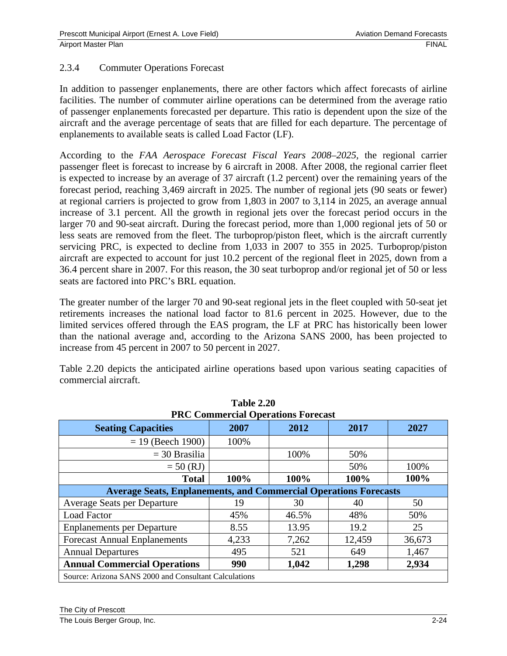## 2.3.4 Commuter Operations Forecast

In addition to passenger enplanements, there are other factors which affect forecasts of airline facilities. The number of commuter airline operations can be determined from the average ratio of passenger enplanements forecasted per departure. This ratio is dependent upon the size of the aircraft and the average percentage of seats that are filled for each departure. The percentage of enplanements to available seats is called Load Factor (LF).

According to the *FAA Aerospace Forecast Fiscal Years 2008–2025,* the regional carrier passenger fleet is forecast to increase by 6 aircraft in 2008. After 2008, the regional carrier fleet is expected to increase by an average of 37 aircraft (1.2 percent) over the remaining years of the forecast period, reaching 3,469 aircraft in 2025. The number of regional jets (90 seats or fewer) at regional carriers is projected to grow from 1,803 in 2007 to 3,114 in 2025, an average annual increase of 3.1 percent. All the growth in regional jets over the forecast period occurs in the larger 70 and 90-seat aircraft. During the forecast period, more than 1,000 regional jets of 50 or less seats are removed from the fleet. The turboprop/piston fleet, which is the aircraft currently servicing PRC, is expected to decline from 1,033 in 2007 to 355 in 2025. Turboprop/piston aircraft are expected to account for just 10.2 percent of the regional fleet in 2025, down from a 36.4 percent share in 2007. For this reason, the 30 seat turboprop and/or regional jet of 50 or less seats are factored into PRC's BRL equation.

The greater number of the larger 70 and 90-seat regional jets in the fleet coupled with 50-seat jet retirements increases the national load factor to 81.6 percent in 2025. However, due to the limited services offered through the EAS program, the LF at PRC has historically been lower than the national average and, according to the Arizona SANS 2000, has been projected to increase from 45 percent in 2007 to 50 percent in 2027.

Table 2.20 depicts the anticipated airline operations based upon various seating capacities of commercial aircraft.

**Table 2.20** 

| <b>PRC Commercial Operations Forecast</b>                               |       |       |        |        |  |
|-------------------------------------------------------------------------|-------|-------|--------|--------|--|
| <b>Seating Capacities</b>                                               | 2007  | 2012  | 2017   | 2027   |  |
| $= 19$ (Beech 1900)                                                     | 100%  |       |        |        |  |
| $=$ 30 Brasilia                                                         |       | 100%  | 50%    |        |  |
| $= 50$ (RJ)                                                             |       |       | 50%    | 100%   |  |
| <b>Total</b>                                                            | 100%  | 100%  | 100%   | 100%   |  |
| <b>Average Seats, Enplanements, and Commercial Operations Forecasts</b> |       |       |        |        |  |
| Average Seats per Departure                                             | 19    | 30    | 40     | 50     |  |
| <b>Load Factor</b>                                                      | 45%   | 46.5% | 48%    | 50%    |  |
| <b>Enplanements per Departure</b>                                       | 8.55  | 13.95 | 19.2   | 25     |  |
| <b>Forecast Annual Enplanements</b>                                     | 4,233 | 7,262 | 12,459 | 36,673 |  |
| <b>Annual Departures</b>                                                | 495   | 521   | 649    | 1,467  |  |
| <b>Annual Commercial Operations</b>                                     | 990   | 1,042 | 1,298  | 2,934  |  |
| Source: Arizona SANS 2000 and Consultant Calculations                   |       |       |        |        |  |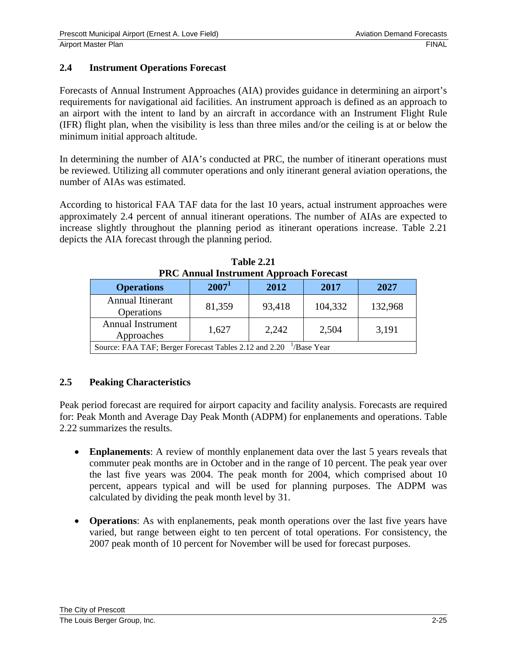## **2.4 Instrument Operations Forecast**

Forecasts of Annual Instrument Approaches (AIA) provides guidance in determining an airport's requirements for navigational aid facilities. An instrument approach is defined as an approach to an airport with the intent to land by an aircraft in accordance with an Instrument Flight Rule (IFR) flight plan, when the visibility is less than three miles and/or the ceiling is at or below the minimum initial approach altitude.

In determining the number of AIA's conducted at PRC, the number of itinerant operations must be reviewed. Utilizing all commuter operations and only itinerant general aviation operations, the number of AIAs was estimated.

According to historical FAA TAF data for the last 10 years, actual instrument approaches were approximately 2.4 percent of annual itinerant operations. The number of AIAs are expected to increase slightly throughout the planning period as itinerant operations increase. Table 2.21 depicts the AIA forecast through the planning period.

| T NC Allitual Tilsti ulliellt Appl oach Forecast                    |          |        |         |         |  |
|---------------------------------------------------------------------|----------|--------|---------|---------|--|
| <b>Operations</b>                                                   | $2007^1$ | 2012   | 2017    | 2027    |  |
| <b>Annual Itinerant</b><br>Operations                               | 81,359   | 93,418 | 104,332 | 132,968 |  |
| <b>Annual Instrument</b><br>Approaches                              | 1,627    | 2,242  | 2,504   | 3,191   |  |
| Source: FAA TAF; Berger Forecast Tables 2.12 and 2.20<br>/Base Year |          |        |         |         |  |

**Table 2.21 PRC Annual Instrument Approach Forecast** 

## **2.5 Peaking Characteristics**

Peak period forecast are required for airport capacity and facility analysis. Forecasts are required for: Peak Month and Average Day Peak Month (ADPM) for enplanements and operations. Table 2.22 summarizes the results.

- **Enplanements**: A review of monthly enplanement data over the last 5 years reveals that commuter peak months are in October and in the range of 10 percent. The peak year over the last five years was 2004. The peak month for 2004, which comprised about 10 percent, appears typical and will be used for planning purposes. The ADPM was calculated by dividing the peak month level by 31.
- **Operations**: As with enplanements, peak month operations over the last five years have varied, but range between eight to ten percent of total operations. For consistency, the 2007 peak month of 10 percent for November will be used for forecast purposes.